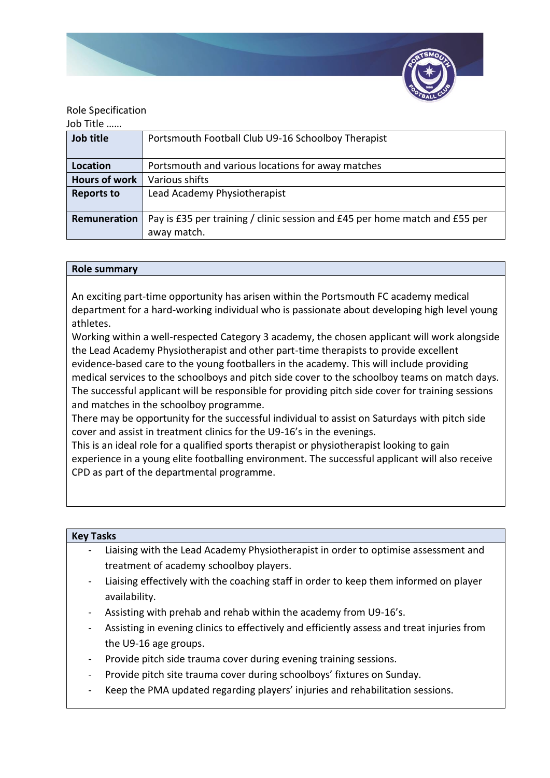

# Role Specification

## Job Title ……

| Job title            | Portsmouth Football Club U9-16 Schoolboy Therapist                          |
|----------------------|-----------------------------------------------------------------------------|
|                      |                                                                             |
| <b>Location</b>      | Portsmouth and various locations for away matches                           |
| <b>Hours of work</b> | Various shifts                                                              |
| <b>Reports to</b>    | Lead Academy Physiotherapist                                                |
|                      |                                                                             |
| Remuneration         | Pay is £35 per training / clinic session and £45 per home match and £55 per |
|                      | away match.                                                                 |

### **Role summary**

An exciting part-time opportunity has arisen within the Portsmouth FC academy medical department for a hard-working individual who is passionate about developing high level young athletes.

Working within a well-respected Category 3 academy, the chosen applicant will work alongside the Lead Academy Physiotherapist and other part-time therapists to provide excellent evidence-based care to the young footballers in the academy. This will include providing medical services to the schoolboys and pitch side cover to the schoolboy teams on match days. The successful applicant will be responsible for providing pitch side cover for training sessions and matches in the schoolboy programme.

There may be opportunity for the successful individual to assist on Saturdays with pitch side cover and assist in treatment clinics for the U9-16's in the evenings.

This is an ideal role for a qualified sports therapist or physiotherapist looking to gain experience in a young elite footballing environment. The successful applicant will also receive CPD as part of the departmental programme.

| <b>Key Tasks</b> |                                                                                         |  |
|------------------|-----------------------------------------------------------------------------------------|--|
|                  | - Liaising with the Lead Academy Physiotherapist in order to optimise assessment and    |  |
|                  | treatment of academy schoolboy players.                                                 |  |
|                  | - Liaising effectively with the coaching staff in order to keep them informed on player |  |
|                  | availability.                                                                           |  |

- Assisting with prehab and rehab within the academy from U9-16's.
- Assisting in evening clinics to effectively and efficiently assess and treat injuries from the U9-16 age groups.
- Provide pitch side trauma cover during evening training sessions.
- Provide pitch site trauma cover during schoolboys' fixtures on Sunday.
- Keep the PMA updated regarding players' injuries and rehabilitation sessions.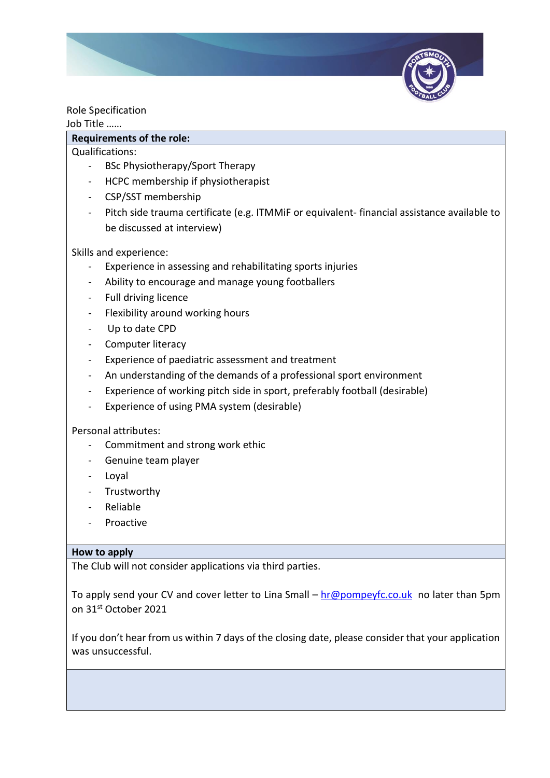

Role Specification

### Job Title ……

# **Requirements of the role:**

Qualifications:

- BSc Physiotherapy/Sport Therapy
- HCPC membership if physiotherapist
- CSP/SST membership
- Pitch side trauma certificate (e.g. ITMMiF or equivalent- financial assistance available to be discussed at interview)

Skills and experience:

- Experience in assessing and rehabilitating sports injuries
- Ability to encourage and manage young footballers
- Full driving licence
- Flexibility around working hours
- Up to date CPD
- Computer literacy
- Experience of paediatric assessment and treatment
- An understanding of the demands of a professional sport environment
- Experience of working pitch side in sport, preferably football (desirable)
- Experience of using PMA system (desirable)

## Personal attributes:

- Commitment and strong work ethic
- Genuine team player
- Loyal
- **Trustworthy**
- Reliable
- Proactive

## **How to apply**

The Club will not consider applications via third parties.

To apply send your CV and cover letter to Lina Small – [hr@pompeyfc.co.uk](mailto:hr@pompeyfc.co.uk) no later than 5pm on 31st October 2021

If you don't hear from us within 7 days of the closing date, please consider that your application was unsuccessful.